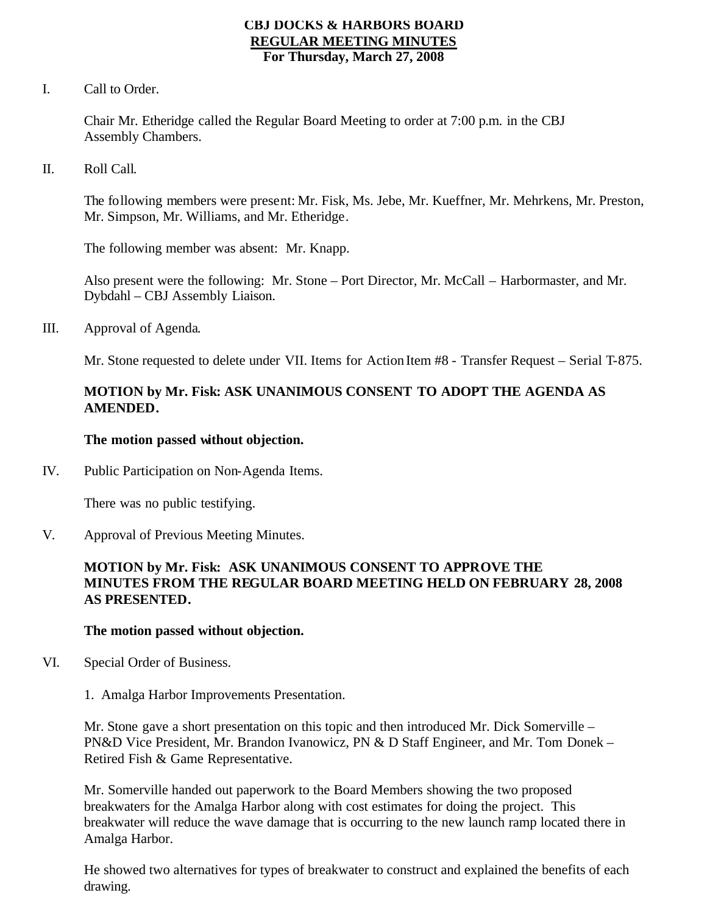### **CBJ DOCKS & HARBORS BOARD REGULAR MEETING MINUTES For Thursday, March 27, 2008**

I. Call to Order.

Chair Mr. Etheridge called the Regular Board Meeting to order at 7:00 p.m. in the CBJ Assembly Chambers.

II. Roll Call.

The following members were present: Mr. Fisk, Ms. Jebe, Mr. Kueffner, Mr. Mehrkens, Mr. Preston, Mr. Simpson, Mr. Williams, and Mr. Etheridge.

The following member was absent: Mr. Knapp.

Also present were the following: Mr. Stone – Port Director, Mr. McCall – Harbormaster, and Mr. Dybdahl – CBJ Assembly Liaison.

III. Approval of Agenda.

Mr. Stone requested to delete under VII. Items for Action Item #8 - Transfer Request – Serial T-875.

# **MOTION by Mr. Fisk: ASK UNANIMOUS CONSENT TO ADOPT THE AGENDA AS AMENDED.**

### **The motion passed without objection.**

IV. Public Participation on Non-Agenda Items.

There was no public testifying.

V. Approval of Previous Meeting Minutes.

# **MOTION by Mr. Fisk: ASK UNANIMOUS CONSENT TO APPROVE THE MINUTES FROM THE REGULAR BOARD MEETING HELD ON FEBRUARY 28, 2008 AS PRESENTED.**

### **The motion passed without objection.**

- VI. Special Order of Business.
	- 1. Amalga Harbor Improvements Presentation.

Mr. Stone gave a short presentation on this topic and then introduced Mr. Dick Somerville – PN&D Vice President, Mr. Brandon Ivanowicz, PN & D Staff Engineer, and Mr. Tom Donek – Retired Fish & Game Representative.

Mr. Somerville handed out paperwork to the Board Members showing the two proposed breakwaters for the Amalga Harbor along with cost estimates for doing the project. This breakwater will reduce the wave damage that is occurring to the new launch ramp located there in Amalga Harbor.

He showed two alternatives for types of breakwater to construct and explained the benefits of each drawing.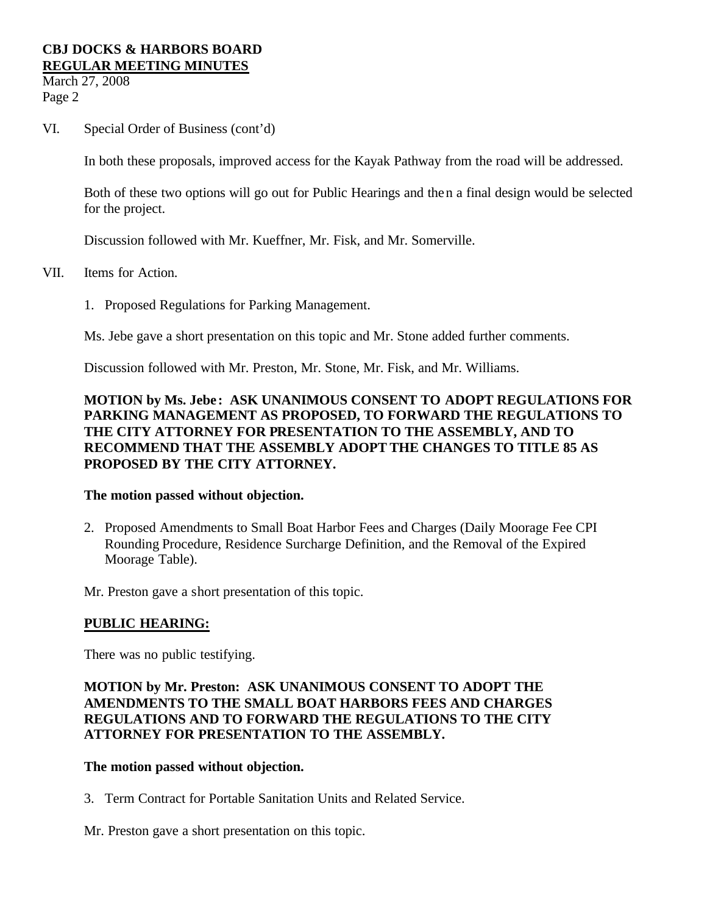March 27, 2008 Page 2

VI. Special Order of Business (cont'd)

In both these proposals, improved access for the Kayak Pathway from the road will be addressed.

Both of these two options will go out for Public Hearings and then a final design would be selected for the project.

Discussion followed with Mr. Kueffner, Mr. Fisk, and Mr. Somerville.

- VII. Items for Action.
	- 1. Proposed Regulations for Parking Management.

Ms. Jebe gave a short presentation on this topic and Mr. Stone added further comments.

Discussion followed with Mr. Preston, Mr. Stone, Mr. Fisk, and Mr. Williams.

# **MOTION by Ms. Jebe : ASK UNANIMOUS CONSENT TO ADOPT REGULATIONS FOR PARKING MANAGEMENT AS PROPOSED, TO FORWARD THE REGULATIONS TO THE CITY ATTORNEY FOR PRESENTATION TO THE ASSEMBLY, AND TO RECOMMEND THAT THE ASSEMBLY ADOPT THE CHANGES TO TITLE 85 AS PROPOSED BY THE CITY ATTORNEY.**

### **The motion passed without objection.**

2. Proposed Amendments to Small Boat Harbor Fees and Charges (Daily Moorage Fee CPI Rounding Procedure, Residence Surcharge Definition, and the Removal of the Expired Moorage Table).

Mr. Preston gave a short presentation of this topic.

### **PUBLIC HEARING:**

There was no public testifying.

### **MOTION by Mr. Preston: ASK UNANIMOUS CONSENT TO ADOPT THE AMENDMENTS TO THE SMALL BOAT HARBORS FEES AND CHARGES REGULATIONS AND TO FORWARD THE REGULATIONS TO THE CITY ATTORNEY FOR PRESENTATION TO THE ASSEMBLY.**

### **The motion passed without objection.**

3. Term Contract for Portable Sanitation Units and Related Service.

Mr. Preston gave a short presentation on this topic.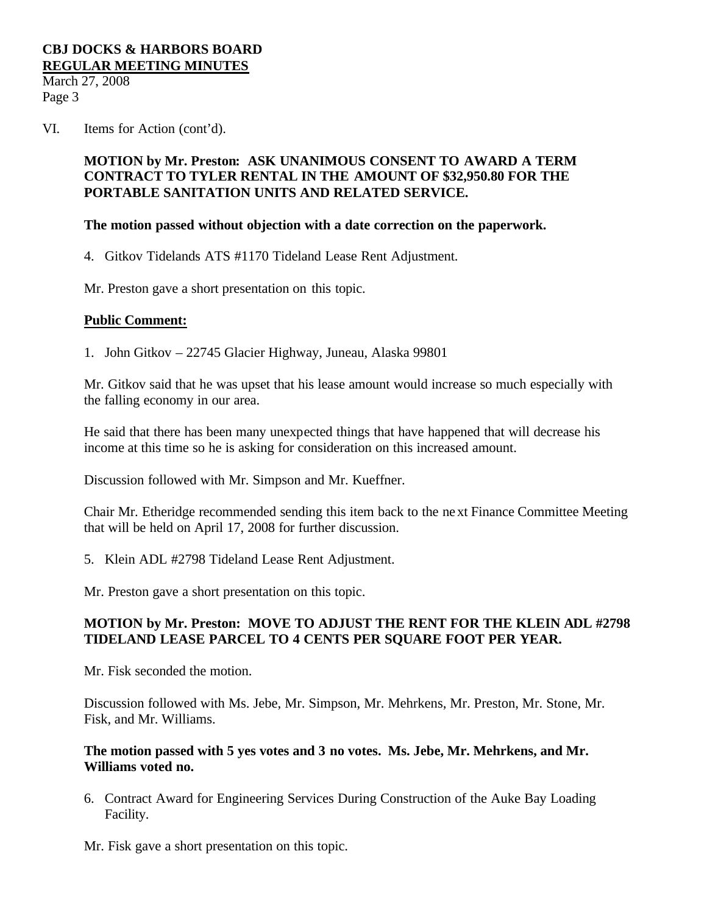March 27, 2008 Page 3

VI. Items for Action (cont'd).

# **MOTION by Mr. Preston: ASK UNANIMOUS CONSENT TO AWARD A TERM CONTRACT TO TYLER RENTAL IN THE AMOUNT OF \$32,950.80 FOR THE PORTABLE SANITATION UNITS AND RELATED SERVICE.**

### **The motion passed without objection with a date correction on the paperwork.**

4. Gitkov Tidelands ATS #1170 Tideland Lease Rent Adjustment.

Mr. Preston gave a short presentation on this topic.

### **Public Comment:**

1. John Gitkov – 22745 Glacier Highway, Juneau, Alaska 99801

Mr. Gitkov said that he was upset that his lease amount would increase so much especially with the falling economy in our area.

He said that there has been many unexpected things that have happened that will decrease his income at this time so he is asking for consideration on this increased amount.

Discussion followed with Mr. Simpson and Mr. Kueffner.

Chair Mr. Etheridge recommended sending this item back to the next Finance Committee Meeting that will be held on April 17, 2008 for further discussion.

5. Klein ADL #2798 Tideland Lease Rent Adjustment.

Mr. Preston gave a short presentation on this topic.

### **MOTION by Mr. Preston: MOVE TO ADJUST THE RENT FOR THE KLEIN ADL #2798 TIDELAND LEASE PARCEL TO 4 CENTS PER SQUARE FOOT PER YEAR.**

Mr. Fisk seconded the motion.

Discussion followed with Ms. Jebe, Mr. Simpson, Mr. Mehrkens, Mr. Preston, Mr. Stone, Mr. Fisk, and Mr. Williams.

### **The motion passed with 5 yes votes and 3 no votes. Ms. Jebe, Mr. Mehrkens, and Mr. Williams voted no.**

6. Contract Award for Engineering Services During Construction of the Auke Bay Loading Facility.

Mr. Fisk gave a short presentation on this topic.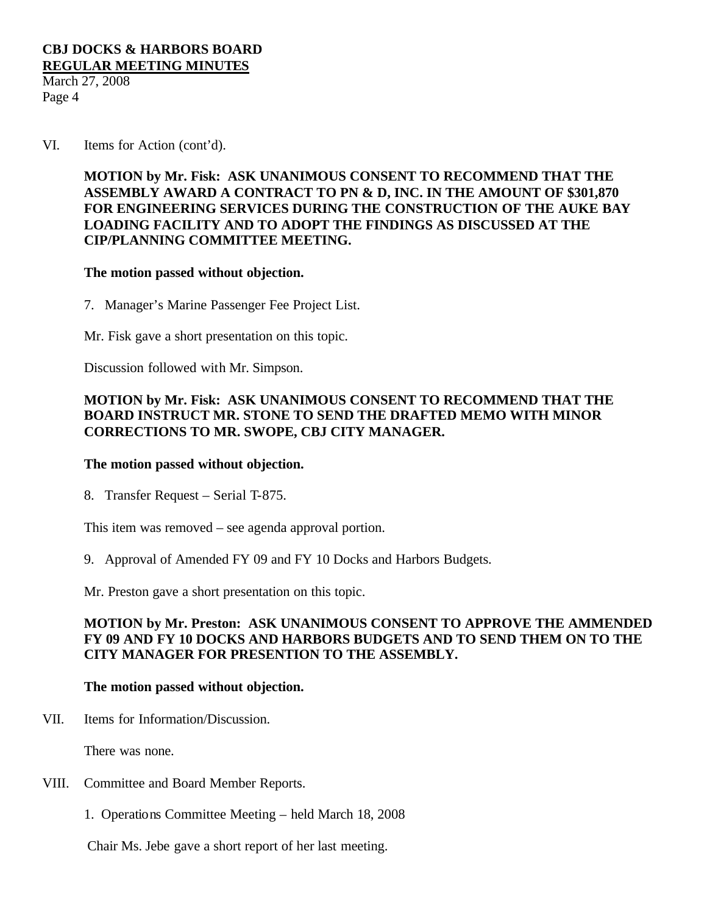March 27, 2008 Page 4

VI. Items for Action (cont'd).

# **MOTION by Mr. Fisk: ASK UNANIMOUS CONSENT TO RECOMMEND THAT THE ASSEMBLY AWARD A CONTRACT TO PN & D, INC. IN THE AMOUNT OF \$301,870 FOR ENGINEERING SERVICES DURING THE CONSTRUCTION OF THE AUKE BAY LOADING FACILITY AND TO ADOPT THE FINDINGS AS DISCUSSED AT THE CIP/PLANNING COMMITTEE MEETING.**

### **The motion passed without objection.**

7. Manager's Marine Passenger Fee Project List.

Mr. Fisk gave a short presentation on this topic.

Discussion followed with Mr. Simpson.

# **MOTION by Mr. Fisk: ASK UNANIMOUS CONSENT TO RECOMMEND THAT THE BOARD INSTRUCT MR. STONE TO SEND THE DRAFTED MEMO WITH MINOR CORRECTIONS TO MR. SWOPE, CBJ CITY MANAGER.**

#### **The motion passed without objection.**

8. Transfer Request – Serial T-875.

This item was removed – see agenda approval portion.

9. Approval of Amended FY 09 and FY 10 Docks and Harbors Budgets.

Mr. Preston gave a short presentation on this topic.

### **MOTION by Mr. Preston: ASK UNANIMOUS CONSENT TO APPROVE THE AMMENDED FY 09 AND FY 10 DOCKS AND HARBORS BUDGETS AND TO SEND THEM ON TO THE CITY MANAGER FOR PRESENTION TO THE ASSEMBLY.**

#### **The motion passed without objection.**

VII. Items for Information/Discussion.

There was none.

- VIII. Committee and Board Member Reports.
	- 1. Operations Committee Meeting held March 18, 2008

Chair Ms. Jebe gave a short report of her last meeting.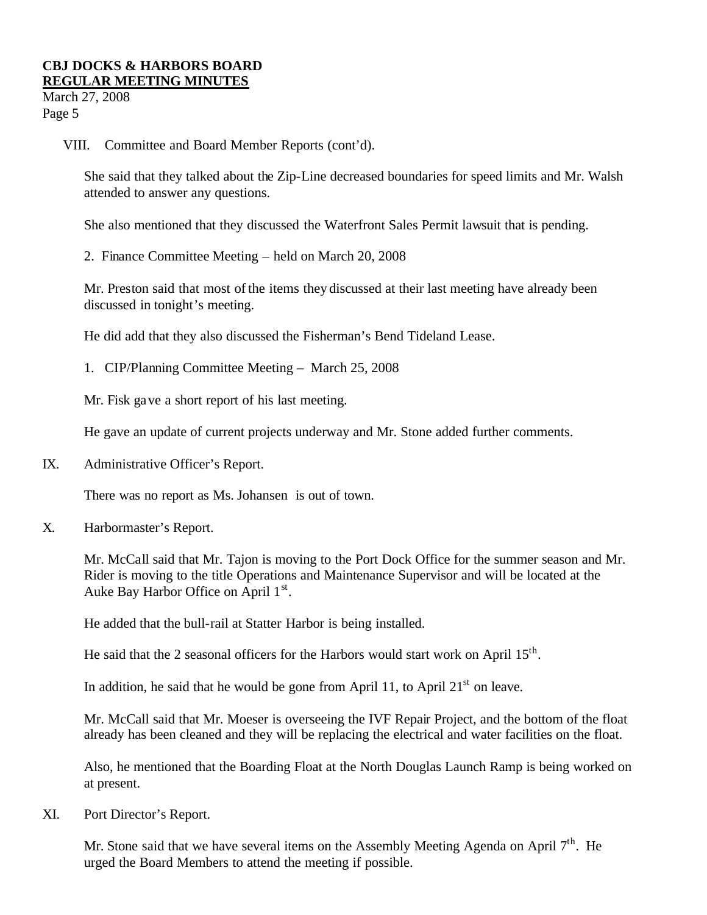March 27, 2008 Page 5

VIII. Committee and Board Member Reports (cont'd).

She said that they talked about the Zip-Line decreased boundaries for speed limits and Mr. Walsh attended to answer any questions.

She also mentioned that they discussed the Waterfront Sales Permit lawsuit that is pending.

2. Finance Committee Meeting – held on March 20, 2008

Mr. Preston said that most of the items they discussed at their last meeting have already been discussed in tonight's meeting.

He did add that they also discussed the Fisherman's Bend Tideland Lease.

1. CIP/Planning Committee Meeting – March 25, 2008

Mr. Fisk gave a short report of his last meeting.

He gave an update of current projects underway and Mr. Stone added further comments.

IX. Administrative Officer's Report.

There was no report as Ms. Johansen is out of town.

X. Harbormaster's Report.

Mr. McCall said that Mr. Tajon is moving to the Port Dock Office for the summer season and Mr. Rider is moving to the title Operations and Maintenance Supervisor and will be located at the Auke Bay Harbor Office on April  $1<sup>st</sup>$ .

He added that the bull-rail at Statter Harbor is being installed.

He said that the 2 seasonal officers for the Harbors would start work on April 15<sup>th</sup>.

In addition, he said that he would be gone from April 11, to April  $21<sup>st</sup>$  on leave.

Mr. McCall said that Mr. Moeser is overseeing the IVF Repair Project, and the bottom of the float already has been cleaned and they will be replacing the electrical and water facilities on the float.

Also, he mentioned that the Boarding Float at the North Douglas Launch Ramp is being worked on at present.

XI. Port Director's Report.

Mr. Stone said that we have several items on the Assembly Meeting Agenda on April  $7<sup>th</sup>$ . He urged the Board Members to attend the meeting if possible.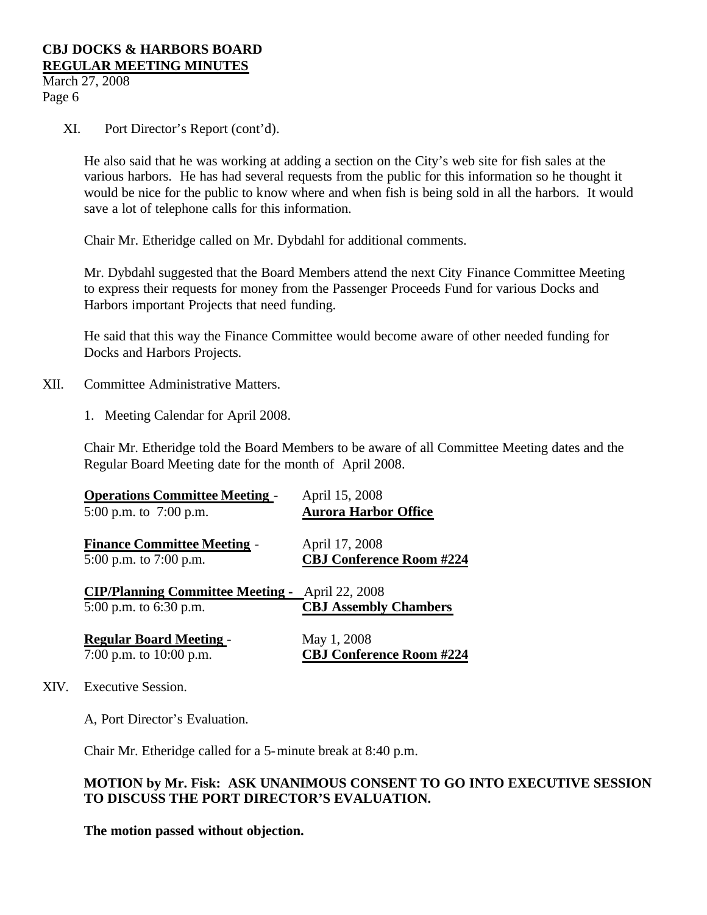March 27, 2008 Page 6

XI. Port Director's Report (cont'd).

He also said that he was working at adding a section on the City's web site for fish sales at the various harbors. He has had several requests from the public for this information so he thought it would be nice for the public to know where and when fish is being sold in all the harbors. It would save a lot of telephone calls for this information.

Chair Mr. Etheridge called on Mr. Dybdahl for additional comments.

Mr. Dybdahl suggested that the Board Members attend the next City Finance Committee Meeting to express their requests for money from the Passenger Proceeds Fund for various Docks and Harbors important Projects that need funding.

He said that this way the Finance Committee would become aware of other needed funding for Docks and Harbors Projects.

- XII. Committee Administrative Matters.
	- 1. Meeting Calendar for April 2008.

Chair Mr. Etheridge told the Board Members to be aware of all Committee Meeting dates and the Regular Board Meeting date for the month of April 2008.

| <b>Aurora Harbor Office</b>     |
|---------------------------------|
|                                 |
|                                 |
| <b>CBJ Conference Room #224</b> |
|                                 |
|                                 |
| <b>CBJ Assembly Chambers</b>    |
|                                 |
|                                 |
| <b>CBJ Conference Room #224</b> |
|                                 |

XIV. Executive Session.

A, Port Director's Evaluation.

Chair Mr. Etheridge called for a 5-minute break at 8:40 p.m.

### **MOTION by Mr. Fisk: ASK UNANIMOUS CONSENT TO GO INTO EXECUTIVE SESSION TO DISCUSS THE PORT DIRECTOR'S EVALUATION.**

**The motion passed without objection.**